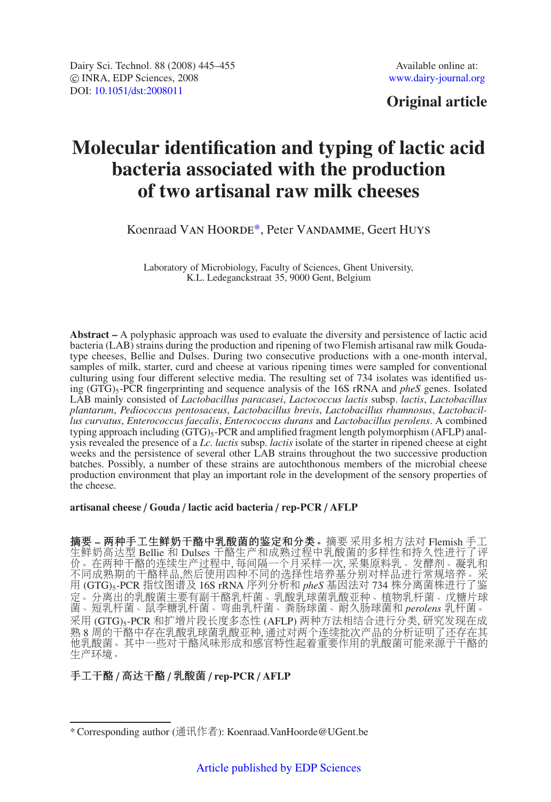## **Original article**

# **Molecular identification and typing of lactic acid bacteria associated with the production of two artisanal raw milk cheeses**

## Koenraad Van Hoorde\*, Peter Vandamme, Geert Huys

Laboratory of Microbiology, Faculty of Sciences, Ghent University, K.L. Ledeganckstraat 35, 9000 Gent, Belgium

**Abstract –** A polyphasic approach was used to evaluate the diversity and persistence of lactic acid bacteria (LAB) strains during the production and ripening of two Flemish artisanal raw milk Goudatype cheeses, Bellie and Dulses. During two consecutive productions with a one-month interval, samples of milk, starter, curd and cheese at various ripening times were sampled for conventional culturing using four different selective media. The resulting set of 734 isolates was identified using (GTG)5-PCR fingerprinting and sequence analysis of the 16S rRNA and *pheS* genes. Isolated LAB mainly consisted of *Lactobacillus paracasei*, *Lactococcus lactis* subsp. *lactis*, *Lactobacillus plantarum*, *Pediococcus pentosaceus*, *Lactobacillus brevis*, *Lactobacillus rhamnosus*, *Lactobacillus curvatus*, *Enterococcus faecalis*, *Enterococcus durans* and *Lactobacillus perolens*. A combined typing approach including  $(GTG)_{5}$ -PCR and amplified fragment length polymorphism (AFLP) analysis revealed the presence of a *Lc. lactis* subsp. *lactis* isolate of the starter in ripened cheese at eight weeks and the persistence of several other LAB strains throughout the two successive production batches. Possibly, a number of these strains are autochthonous members of the microbial cheese production environment that play an important role in the development of the sensory properties of the cheese.

**artisanal cheese** / **Gouda** / **lactic acid bacteria** / **rep-PCR** / **AFLP**

摘要 **–** 两种手工生鲜奶干酪中乳酸菌的鉴定和分类。摘要 采用多相方法对 Flemish 手工 生鲜奶高达型 Bellie 和 Dulses 干酪生产和成熟过程中乳酸菌的多样性和持久性进行了评 价。在两种干酪的连续生产过程中, 每间隔一个月采样一次, 采集原料乳、发酵剂、凝乳和 不同成熟期的干酪样品,然后使用四种不同的选择性培养基分别对样品进行常规培养。采 用 (GTG)5-PCR 指纹图谱及 16S rRNA 序列分析和 *pheS* 基因法对 734 株分离菌株进行了鉴 定。分离出的乳酸菌主要有副干酪乳杆菌、乳酸乳球菌乳酸亚种、植物乳杆菌、戊糖片球 菌、短乳杆菌、鼠李糖乳杆菌、弯曲乳杆菌、粪肠球菌、耐久肠球菌和 *perolens* 乳杆菌。 采用 (GTG)5-PCR 和扩增片段长度多态性 (AFLP) 两种方法相结合进行分类, 研究发现在成 熟 8 周的干酪中存在乳酸乳球菌乳酸亚种, 通过对两个连续批次产品的分析证明了还存在其 他乳酸菌。其中一些对干酪风味形成和感官特性起着重要作用的乳酸菌可能来源于干酪的 生产环境。

## 手工干酪 / 高达干酪 / 乳酸菌 / **rep-PCR** / **AFLP**

<sup>\*</sup> Corresponding author (通讯作者): Koenraad.VanHoorde@UGent.be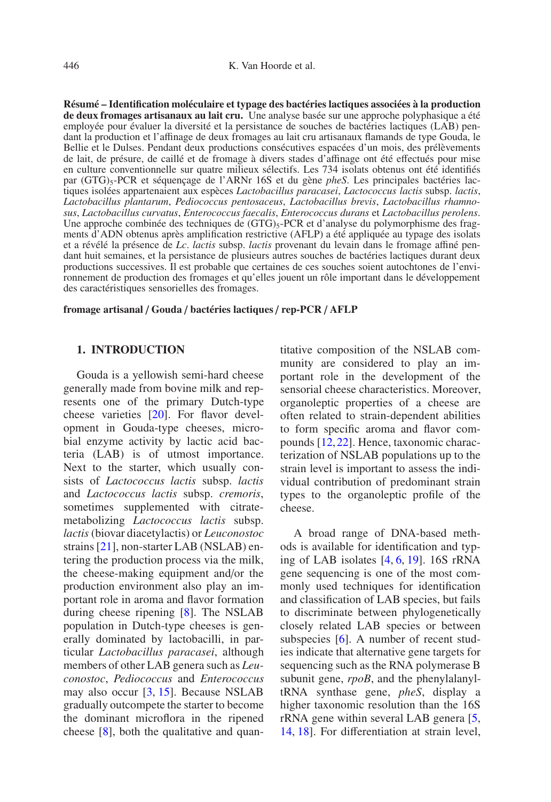**Résumé – Identification moléculaire et typage des bactéries lactiques associées à la production de deux fromages artisanaux au lait cru.** Une analyse basée sur une approche polyphasique a été employée pour évaluer la diversité et la persistance de souches de bactéries lactiques (LAB) pendant la production et l'affinage de deux fromages au lait cru artisanaux flamands de type Gouda, le Bellie et le Dulses. Pendant deux productions consécutives espacées d'un mois, des prélèvements de lait, de présure, de caillé et de fromage à divers stades d'affinage ont été effectués pour mise en culture conventionnelle sur quatre milieux sélectifs. Les 734 isolats obtenus ont été identifiés par (GTG)5-PCR et séquençage de l'ARNr 16S et du gène *pheS*. Les principales bactéries lactiques isolées appartenaient aux espèces *Lactobacillus paracasei*, *Lactococcus lactis* subsp. *lactis*, *Lactobacillus plantarum*, *Pediococcus pentosaceus*, *Lactobacillus brevis*, *Lactobacillus rhamnosus*, *Lactobacillus curvatus*, *Enterococcus faecalis*, *Enterococcus durans* et *Lactobacillus perolens*. Une approche combinée des techniques de  $(GTG)_{5}$ -PCR et d'analyse du polymorphisme des fragments d'ADN obtenus après amplification restrictive (AFLP) a été appliquée au typage des isolats et a révélé la présence de *Lc*. *lactis* subsp. *lactis* provenant du levain dans le fromage affiné pendant huit semaines, et la persistance de plusieurs autres souches de bactéries lactiques durant deux productions successives. Il est probable que certaines de ces souches soient autochtones de l'environnement de production des fromages et qu'elles jouent un rôle important dans le développement des caractéristiques sensorielles des fromages.

**fromage artisanal** / **Gouda** / **bactéries lactiques** / **rep-PCR** / **AFLP**

#### **1. INTRODUCTION**

Gouda is a yellowish semi-hard cheese generally made from bovine milk and represents one of the primary Dutch-type cheese varieties [\[20](#page-10-0)]. For flavor development in Gouda-type cheeses, microbial enzyme activity by lactic acid bacteria (LAB) is of utmost importance. Next to the starter, which usually consists of *Lactococcus lactis* subsp. *lactis* and *Lactococcus lactis* subsp. *cremoris*, sometimes supplemented with citratemetabolizing *Lactococcus lactis* subsp. *lactis* (biovar diacetylactis) or *Leuconostoc* strains [\[21](#page-10-1)], non-starter LAB (NSLAB) entering the production process via the milk, the cheese-making equipment and/or the production environment also play an important role in aroma and flavor formation during cheese ripening [\[8](#page-9-0)]. The NSLAB population in Dutch-type cheeses is generally dominated by lactobacilli, in particular *Lactobacillus paracasei*, although members of other LAB genera such as *Leuconostoc*, *Pediococcus* and *Enterococcus* may also occur [\[3,](#page-9-1) [15](#page-10-2)]. Because NSLAB gradually outcompete the starter to become the dominant microflora in the ripened cheese [\[8](#page-9-0)], both the qualitative and quan-

titative composition of the NSLAB community are considered to play an important role in the development of the sensorial cheese characteristics. Moreover, organoleptic properties of a cheese are often related to strain-dependent abilities to form specific aroma and flavor compounds [\[12,](#page-9-2)[22](#page-10-3)]. Hence, taxonomic characterization of NSLAB populations up to the strain level is important to assess the individual contribution of predominant strain types to the organoleptic profile of the cheese.

A broad range of DNA-based methods is available for identification and typing of LAB isolates [\[4,](#page-9-3) [6](#page-9-4), [19\]](#page-10-4). 16S rRNA gene sequencing is one of the most commonly used techniques for identification and classification of LAB species, but fails to discriminate between phylogenetically closely related LAB species or between subspecies [\[6\]](#page-9-4). A number of recent studies indicate that alternative gene targets for sequencing such as the RNA polymerase B subunit gene, *rpoB*, and the phenylalanyltRNA synthase gene, *pheS*, display a higher taxonomic resolution than the 16S rRNA gene within several LAB genera [\[5,](#page-9-5) [14](#page-10-5), [18\]](#page-10-6). For differentiation at strain level,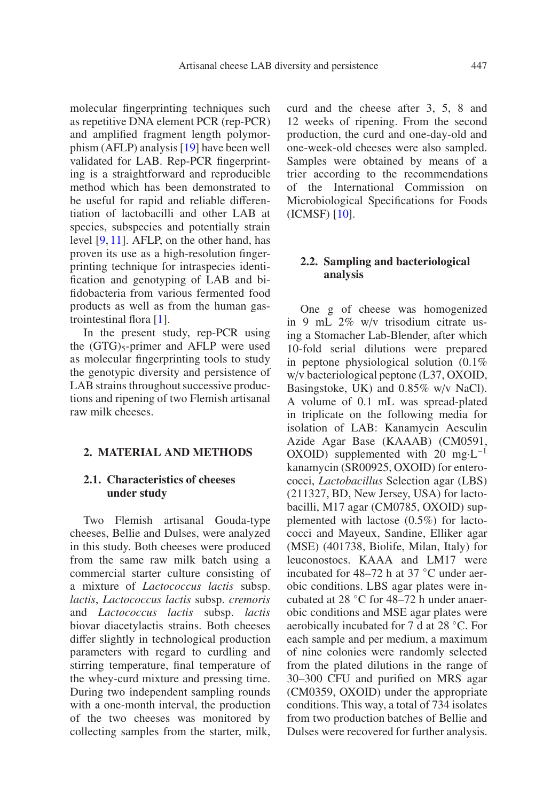molecular fingerprinting techniques such as repetitive DNA element PCR (rep-PCR) and amplified fragment length polymorphism (AFLP) analysis [\[19](#page-10-4)] have been well validated for LAB. Rep-PCR fingerprinting is a straightforward and reproducible method which has been demonstrated to be useful for rapid and reliable differentiation of lactobacilli and other LAB at species, subspecies and potentially strain level [\[9,](#page-9-6) [11\]](#page-9-7). AFLP, on the other hand, has proven its use as a high-resolution fingerprinting technique for intraspecies identification and genotyping of LAB and bifidobacteria from various fermented food products as well as from the human gastrointestinal flora [\[1\]](#page-9-8).

In the present study, rep-PCR using the  $(GTG)_5$ -primer and AFLP were used as molecular fingerprinting tools to study the genotypic diversity and persistence of LAB strains throughout successive productions and ripening of two Flemish artisanal raw milk cheeses.

#### **2. MATERIAL AND METHODS**

## **2.1. Characteristics of cheeses under study**

Two Flemish artisanal Gouda-type cheeses, Bellie and Dulses, were analyzed in this study. Both cheeses were produced from the same raw milk batch using a commercial starter culture consisting of a mixture of *Lactococcus lactis* subsp. *lactis*, *Lactococcus lactis* subsp. *cremoris* and *Lactococcus lactis* subsp. *lactis* biovar diacetylactis strains. Both cheeses differ slightly in technological production parameters with regard to curdling and stirring temperature, final temperature of the whey-curd mixture and pressing time. During two independent sampling rounds with a one-month interval, the production of the two cheeses was monitored by collecting samples from the starter, milk, curd and the cheese after 3, 5, 8 and 12 weeks of ripening. From the second production, the curd and one-day-old and one-week-old cheeses were also sampled. Samples were obtained by means of a trier according to the recommendations of the International Commission on Microbiological Specifications for Foods (ICMSF) [\[10](#page-9-9)].

#### **2.2. Sampling and bacteriological analysis**

One g of cheese was homogenized in 9 mL 2% w/v trisodium citrate using a Stomacher Lab-Blender, after which 10-fold serial dilutions were prepared in peptone physiological solution (0.1% w/v bacteriological peptone (L37, OXOID, Basingstoke, UK) and 0.85% w/v NaCl). A volume of 0.1 mL was spread-plated in triplicate on the following media for isolation of LAB: Kanamycin Aesculin Azide Agar Base (KAAAB) (CM0591, OXOID) supplemented with 20 mg⋅ $L^{-1}$ kanamycin (SR00925, OXOID) for enterococci, *Lactobacillus* Selection agar (LBS) (211327, BD, New Jersey, USA) for lactobacilli, M17 agar (CM0785, OXOID) supplemented with lactose (0.5%) for lactococci and Mayeux, Sandine, Elliker agar (MSE) (401738, Biolife, Milan, Italy) for leuconostocs. KAAA and LM17 were incubated for 48–72 h at 37 ◦C under aerobic conditions. LBS agar plates were incubated at 28 ◦C for 48–72 h under anaerobic conditions and MSE agar plates were aerobically incubated for 7 d at 28 ◦C. For each sample and per medium, a maximum of nine colonies were randomly selected from the plated dilutions in the range of 30–300 CFU and purified on MRS agar (CM0359, OXOID) under the appropriate conditions. This way, a total of 734 isolates from two production batches of Bellie and Dulses were recovered for further analysis.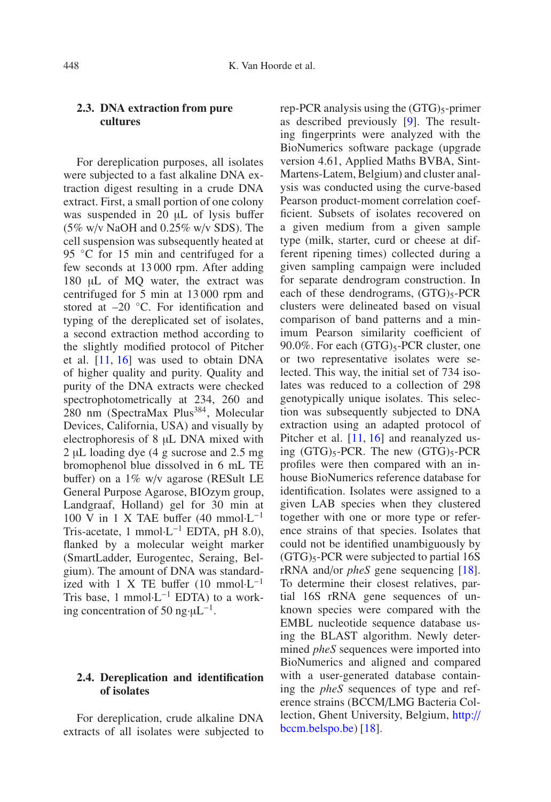## **2.3. DNA extraction from pure cultures**

For dereplication purposes, all isolates were subjected to a fast alkaline DNA extraction digest resulting in a crude DNA extract. First, a small portion of one colony was suspended in 20 uL of lysis buffer (5% w/v NaOH and 0.25% w/v SDS). The cell suspension was subsequently heated at 95 °C for 15 min and centrifuged for a few seconds at 13 000 rpm. After adding 180 µL of MQ water, the extract was centrifuged for 5 min at 13 000 rpm and stored at –20 ◦C. For identification and typing of the dereplicated set of isolates, a second extraction method according to the slightly modified protocol of Pitcher et al. [\[11,](#page-9-7) [16\]](#page-10-7) was used to obtain DNA of higher quality and purity. Quality and purity of the DNA extracts were checked spectrophotometrically at 234, 260 and 280 nm (SpectraMax Plus<sup>384</sup>, Molecular Devices, California, USA) and visually by electrophoresis of 8 µL DNA mixed with 2 µL loading dye (4 g sucrose and 2.5 mg bromophenol blue dissolved in 6 mL TE buffer) on a 1% w/v agarose (RESult LE General Purpose Agarose, BIOzym group, Landgraaf, Holland) gel for 30 min at 100 V in 1 X TAE buffer (40 mmol·L−<sup>1</sup> Tris-acetate, 1 mmol⋅L<sup>-1</sup> EDTA, pH 8.0), flanked by a molecular weight marker (SmartLadder, Eurogentec, Seraing, Belgium). The amount of DNA was standardized with 1 X TE buffer  $(10 \text{ mmol} \cdot L^{-1})$ Tris base, 1 mmol⋅L<sup>-1</sup> EDTA) to a working concentration of 50 ng· $\mu L^{-1}$ .

## **2.4. Dereplication and identification of isolates**

For dereplication, crude alkaline DNA extracts of all isolates were subjected to rep-PCR analysis using the  $(GTG)_{5}$ -primer as described previously [\[9\]](#page-9-6). The resulting fingerprints were analyzed with the BioNumerics software package (upgrade version 4.61, Applied Maths BVBA, Sint-Martens-Latem, Belgium) and cluster analysis was conducted using the curve-based Pearson product-moment correlation coefficient. Subsets of isolates recovered on a given medium from a given sample type (milk, starter, curd or cheese at different ripening times) collected during a given sampling campaign were included for separate dendrogram construction. In each of these dendrograms,  $(GTG)_{5}$ -PCR clusters were delineated based on visual comparison of band patterns and a minimum Pearson similarity coefficient of 90.0%. For each  $(GTG)_{5}$ -PCR cluster, one or two representative isolates were selected. This way, the initial set of 734 isolates was reduced to a collection of 298 genotypically unique isolates. This selection was subsequently subjected to DNA extraction using an adapted protocol of Pitcher et al. [\[11,](#page-9-7) [16](#page-10-7)] and reanalyzed using  $(GTG)_{5}$ -PCR. The new  $(GTG)_{5}$ -PCR profiles were then compared with an inhouse BioNumerics reference database for identification. Isolates were assigned to a given LAB species when they clustered together with one or more type or reference strains of that species. Isolates that could not be identified unambiguously by  $(GTG)_5$ -PCR were subjected to partial 16S rRNA and/or *pheS* gene sequencing [\[18\]](#page-10-6). To determine their closest relatives, partial 16S rRNA gene sequences of unknown species were compared with the EMBL nucleotide sequence database using the BLAST algorithm. Newly determined *pheS* sequences were imported into BioNumerics and aligned and compared with a user-generated database containing the *pheS* sequences of type and reference strains (BCCM/LMG Bacteria Collection, Ghent University, Belgium, [http:](http://bccm.belspo.be)// [bccm.belspo.be\)](http://bccm.belspo.be) [\[18](#page-10-6)].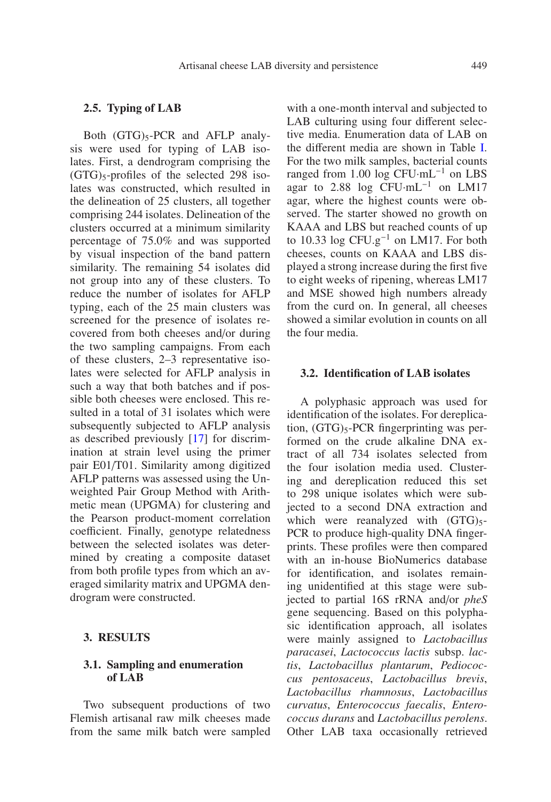#### **2.5. Typing of LAB**

Both  $(GTG)_{5}$ -PCR and AFLP analysis were used for typing of LAB isolates. First, a dendrogram comprising the  $(GTG)_{5}$ -profiles of the selected 298 isolates was constructed, which resulted in the delineation of 25 clusters, all together comprising 244 isolates. Delineation of the clusters occurred at a minimum similarity percentage of 75.0% and was supported by visual inspection of the band pattern similarity. The remaining 54 isolates did not group into any of these clusters. To reduce the number of isolates for AFLP typing, each of the 25 main clusters was screened for the presence of isolates recovered from both cheeses and/or during the two sampling campaigns. From each of these clusters, 2–3 representative isolates were selected for AFLP analysis in such a way that both batches and if possible both cheeses were enclosed. This resulted in a total of 31 isolates which were subsequently subjected to AFLP analysis as described previously [\[17\]](#page-10-8) for discrimination at strain level using the primer pair E01/T01. Similarity among digitized AFLP patterns was assessed using the Unweighted Pair Group Method with Arithmetic mean (UPGMA) for clustering and the Pearson product-moment correlation coefficient. Finally, genotype relatedness between the selected isolates was determined by creating a composite dataset from both profile types from which an averaged similarity matrix and UPGMA dendrogram were constructed.

#### **3. RESULTS**

#### **3.1. Sampling and enumeration of LAB**

Two subsequent productions of two Flemish artisanal raw milk cheeses made from the same milk batch were sampled with a one-month interval and subjected to LAB culturing using four different selective media. Enumeration data of LAB on the different media are shown in Table [I.](#page-5-0) For the two milk samples, bacterial counts ranged from 1.00 log  $CFU·mL^{-1}$  on LBS agar to 2.88 log CFU·mL−<sup>1</sup> on LM17 agar, where the highest counts were observed. The starter showed no growth on KAAA and LBS but reached counts of up to 10.33 log CFU.g−<sup>1</sup> on LM17. For both cheeses, counts on KAAA and LBS displayed a strong increase during the first five to eight weeks of ripening, whereas LM17 and MSE showed high numbers already from the curd on. In general, all cheeses showed a similar evolution in counts on all the four media.

#### **3.2. Identification of LAB isolates**

A polyphasic approach was used for identification of the isolates. For dereplication,  $(GTG)_5$ -PCR fingerprinting was performed on the crude alkaline DNA extract of all 734 isolates selected from the four isolation media used. Clustering and dereplication reduced this set to 298 unique isolates which were subjected to a second DNA extraction and which were reanalyzed with  $(GTG)_5$ -PCR to produce high-quality DNA fingerprints. These profiles were then compared with an in-house BioNumerics database for identification, and isolates remaining unidentified at this stage were subjected to partial 16S rRNA and/or *pheS* gene sequencing. Based on this polyphasic identification approach, all isolates were mainly assigned to *Lactobacillus paracasei*, *Lactococcus lactis* subsp. *lactis*, *Lactobacillus plantarum*, *Pediococcus pentosaceus*, *Lactobacillus brevis*, *Lactobacillus rhamnosus*, *Lactobacillus curvatus*, *Enterococcus faecalis*, *Enterococcus durans* and *Lactobacillus perolens*. Other LAB taxa occasionally retrieved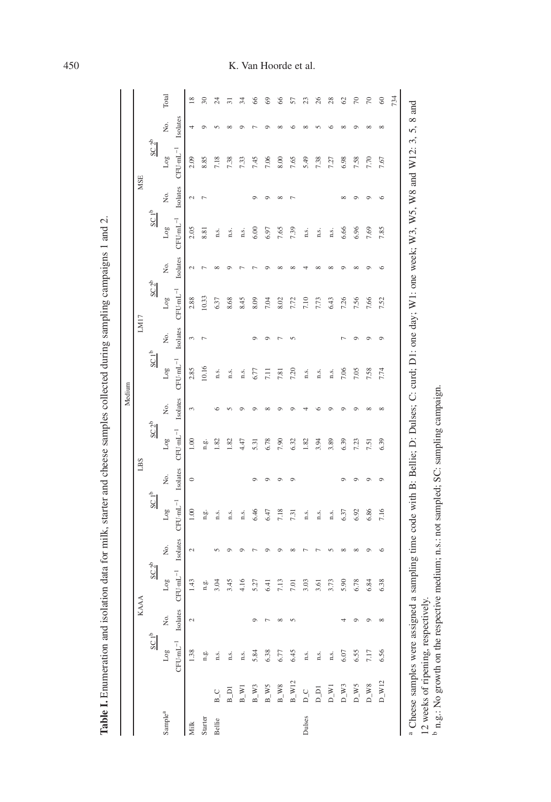|                                     |                    |                                                                                                                                                               |                          |                  |                |                  |          |                          |          | Medium                                                         |                |                  |                |                  |                  |                  |              |                 |
|-------------------------------------|--------------------|---------------------------------------------------------------------------------------------------------------------------------------------------------------|--------------------------|------------------|----------------|------------------|----------|--------------------------|----------|----------------------------------------------------------------|----------------|------------------|----------------|------------------|------------------|------------------|--------------|-----------------|
|                                     |                    |                                                                                                                                                               |                          | <b>KAAA</b>      |                |                  |          | LBS                      |          |                                                                |                | LM17             |                |                  |                  | <b>MSE</b>       |              |                 |
|                                     |                    | SC1 <sup>b</sup>                                                                                                                                              |                          | SC2 <sup>b</sup> |                | SC1 <sup>b</sup> |          | SC2 <sup>b</sup>         |          | SC1 <sup>b</sup>                                               |                | SC2 <sup>b</sup> |                | SC1 <sup>b</sup> |                  | SC2 <sup>b</sup> |              |                 |
| Sample <sup>a</sup>                 |                    | Log                                                                                                                                                           | ż,                       | $_{\text{Log}}$  | Σó.            | Log              | Σó,      | Log                      | Σó.      | $_{\text{Log}}$                                                | Σó.            | $_{\rm Log}$     | Χo.            | $_{\rm Log}$     | Ź.               | $_{\rm Log}$     | Σó.          | Total           |
|                                     |                    | $CFU$ - $mL^{-1}$                                                                                                                                             | Isolates                 | $CFU·mL^{-1}$    | Isolates       | $CFU·mL-1$       | Isolates | ${\rm CFU\cdot mL^{-1}}$ | Isolates | $\mathrm{C}\mathrm{F}\mathrm{U}\cdot\mathrm{m}\mathrm{L}^{-1}$ | Isolates       | $CFU·mL^{-1}$    | Isolates       | $CFU·mL^{-1}$    | Isolates         | $CFU·mL^{-1}$    | Isolates     |                 |
| Milk                                |                    | 1.38                                                                                                                                                          | $\mathfrak{a}$           | 1.43             | 2              | $1.00\,$         | $\circ$  | $1.00\,$                 | 3        | 2.85                                                           | 3              | 2.88             | $\mathcal{L}$  | 2.05             | $\mathcal{L}$    | 2.09             | 4            | $\overline{8}$  |
| Starter                             |                    | n.g.                                                                                                                                                          |                          | n.g.             |                | n.g.             |          | n.g.                     |          | 10.16                                                          | $\overline{ }$ | 10.33            | $\overline{ }$ | 8.81             | $\overline{r}$   | 8.85             | $\circ$      | $\approx$       |
| Bellie                              | $B_{C}$            | n.s.                                                                                                                                                          |                          | 3.04             | $\sqrt{2}$     | n.s.             |          | 1.82                     | $\circ$  | n.s.                                                           |                | 6.37             | $\infty$       | n.s.             |                  | 7.18             | 5            | $\frac{4}{3}$   |
|                                     | $B_$ Di            | n.s.                                                                                                                                                          |                          | 3.45             | $\circ$        | n.s.             |          | 1.82                     | $\sim$   | n.s.                                                           |                | 8.68             | $\circ$        | n.s.             |                  | 7.38             | ${}^{\circ}$ | $\overline{31}$ |
|                                     | $B_{-W1}$          | n.s.                                                                                                                                                          |                          | 4.16             | $\circ$        | n.s.             |          | 4.47                     | $\circ$  | n.s.                                                           |                | 8.45             |                | n.s.             |                  | 7.33             | $\sigma$     | 34              |
|                                     | $B_{W}W$ 3         | 5.84                                                                                                                                                          | $\circ$                  | 5.27             | $\overline{ }$ | 6.46             | $\circ$  | 5.31                     | $\sigma$ | 6.77                                                           | $\circ$        | 8.09             |                | 6.00             | $\circ$          | 7.45             |              | 8               |
|                                     | $B_{W}$            | 6.38                                                                                                                                                          | $\overline{\phantom{0}}$ | 6.41             | $\circ$        | 6.47             | $\circ$  | 6.78                     | $\infty$ | $7.11$                                                         | $\circ$        | 7.04             | $\circ$        | 6.97             | $\circ$          | 7.06             | $\circ$      | 69              |
|                                     | $B_{W8}$           | 6.77                                                                                                                                                          | ${}^{\circ}$             | 7.13             | $\circ$        | 7.18             | $\circ$  | 7.90                     | $\sigma$ | 7.81                                                           | $\overline{ }$ | 8.02             | $\infty$       | 7.65             | $\infty$         | 8.00             | $\infty$     | $\frac{8}{5}$   |
|                                     | $B_{\_}$ W12       | 6.45                                                                                                                                                          | $\mathfrak{c}$           | 7.01             | $\infty$       | 7.31             | $\circ$  | 6.32                     | $\circ$  | 7.20                                                           | $\sqrt{2}$     | 7.72             | $\infty$       | 7.39             | $\triangleright$ | 7.65             | $\circ$      | 57              |
| Dulses                              | $D_{-}C$           | n.s.                                                                                                                                                          |                          | 3.03             | $\overline{ }$ | n.s.             |          | 1.82                     |          | n.s.                                                           |                | 7.10             |                | n.s.             |                  | 5.49             | $\infty$     | $\mathfrak{L}$  |
|                                     | D_DI               | n.s.                                                                                                                                                          |                          | 3.61             |                | n.s.             |          | 3.94                     | S.       | n.s.                                                           |                | 7.73             | $\infty$       | n.s.             |                  | 7.38             | $\sqrt{2}$   | $^{26}$         |
|                                     | $D_{-W1}$          | n.s.                                                                                                                                                          |                          | 3.73             | $\sqrt{2}$     | n.s.             |          | 3.89                     | Ô        | n.s.                                                           |                | 6.43             | $\infty$       | n.s.             |                  | 7.27             | $\circ$      | 28              |
|                                     | $D_{\text{W}}$ 3   | 6.07                                                                                                                                                          | 4                        | 5.90             | $\infty$       | 6.37             | $\circ$  | 6.39                     | $\circ$  | 7.06                                                           | r              | 7.26             | $\circ$        | 6.66             | $\infty$         | 6.98             | ${}^{\circ}$ | $\mathcal{S}$   |
|                                     | $D_{-W}$ 5         | 6.55                                                                                                                                                          | $\circ$                  | 6.78             | $\infty$       | 6.92             | $\circ$  | 7.23                     | $\circ$  | 7.05                                                           | $\circ$        | 7.56             | $\infty$       | 6.96             | $\circ$          | 7.58             | $\circ$      | 50              |
|                                     | $D_{\!_-}W8$       | 7.17                                                                                                                                                          | $\circ$                  | 6.84             | $\circ$        | 6.86             | $\circ$  | 7.51                     | $\infty$ | 7.58                                                           | $\circ$        | 7.66             | $\circ$        | 7.69             | $\circ$          | 7.70             | $\infty$     | $\approx$       |
|                                     | $D_{\text{N}}$ W12 | 6.56                                                                                                                                                          | $_{\infty}$              | 6.38             | $\circ$        | 7.16             | $\circ$  | 6.39                     | $\infty$ | 7.74                                                           | $\sigma$       | 7.52             | $\circ$        | 7.85             | $\circ$          | 7.67             | $\infty$     | 8               |
|                                     |                    |                                                                                                                                                               |                          |                  |                |                  |          |                          |          |                                                                |                |                  |                |                  |                  |                  |              | 734             |
| 12 weeks of ripening, respectively. |                    | <sup>a</sup> Cheese samples were assigned a sampling time code with B: Bellie; D: Dulses; C: curd: D1: one day; W1: one week; W3, W5, W8 and W12: 3, 5, 8 and |                          |                  |                |                  |          |                          |          |                                                                |                |                  |                |                  |                  |                  |              |                 |

<span id="page-5-0"></span>

## 450 K. Van Hoorde et al.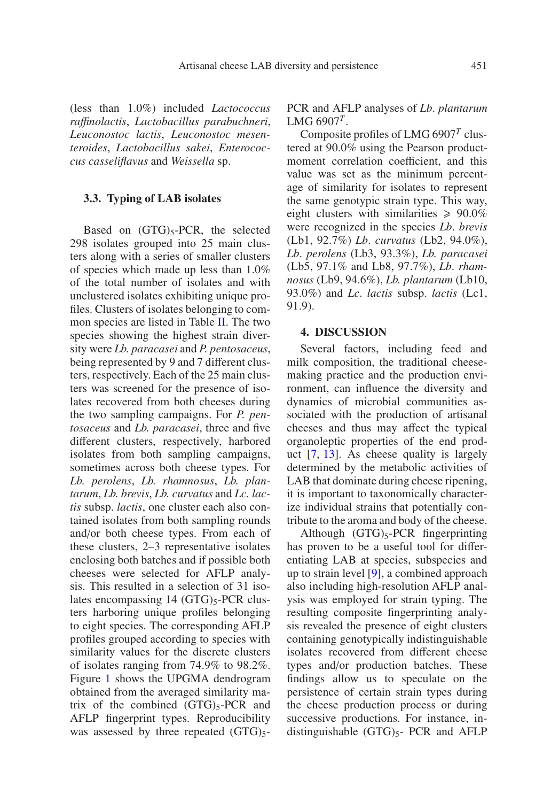(less than 1.0%) included *Lactococcus ra*ffi*nolactis*, *Lactobacillus parabuchneri*, *Leuconostoc lactis*, *Leuconostoc mesenteroides*, *Lactobacillus sakei*, *Enterococcus casseliflavus* and *Weissella* sp.

#### **3.3. Typing of LAB isolates**

Based on  $(GTG)_5$ -PCR, the selected 298 isolates grouped into 25 main clusters along with a series of smaller clusters of species which made up less than 1.0% of the total number of isolates and with unclustered isolates exhibiting unique profiles. Clusters of isolates belonging to common species are listed in Table [II.](#page-8-0) The two species showing the highest strain diversity were *Lb. paracasei* and *P. pentosaceus*, being represented by 9 and 7 different clusters, respectively. Each of the 25 main clusters was screened for the presence of isolates recovered from both cheeses during the two sampling campaigns. For *P. pentosaceus* and *Lb. paracasei*, three and five different clusters, respectively, harbored isolates from both sampling campaigns, sometimes across both cheese types. For *Lb. perolens*, *Lb. rhamnosus*, *Lb. plantarum*, *Lb. brevis*, *Lb. curvatus* and *Lc. lactis* subsp. *lactis*, one cluster each also contained isolates from both sampling rounds and/or both cheese types. From each of these clusters, 2–3 representative isolates enclosing both batches and if possible both cheeses were selected for AFLP analysis. This resulted in a selection of 31 isolates encompassing  $14 \text{ (GTG)}_5\text{-PCR}$  clusters harboring unique profiles belonging to eight species. The corresponding AFLP profiles grouped according to species with similarity values for the discrete clusters of isolates ranging from 74.9% to 98.2%. Figure [1](#page-7-0) shows the UPGMA dendrogram obtained from the averaged similarity matrix of the combined  $(GTG)_{5}$ -PCR and AFLP fingerprint types. Reproducibility was assessed by three repeated  $(GTG)_{5}$ -

PCR and AFLP analyses of *Lb*. *plantarum* LMG 6907*<sup>T</sup>* .

Composite profiles of LMG 6907*<sup>T</sup>* clustered at 90.0% using the Pearson productmoment correlation coefficient, and this value was set as the minimum percentage of similarity for isolates to represent the same genotypic strain type. This way, eight clusters with similarities  $\geq 90.0\%$ were recognized in the species *Lb*. *brevis* (Lb1, 92.7%) *Lb*. *curvatus* (Lb2, 94.0%), *Lb*. *perolens* (Lb3, 93.3%), *Lb. paracasei* (Lb5, 97.1% and Lb8, 97.7%), *Lb*. *rhamnosus* (Lb9, 94.6%), *Lb. plantarum* (Lb10, 93.0%) and *Lc*. *lactis* subsp. *lactis* (Lc1, 91.9).

#### **4. DISCUSSION**

Several factors, including feed and milk composition, the traditional cheesemaking practice and the production environment, can influence the diversity and dynamics of microbial communities associated with the production of artisanal cheeses and thus may affect the typical organoleptic properties of the end product [\[7](#page-9-10), [13\]](#page-9-11). As cheese quality is largely determined by the metabolic activities of LAB that dominate during cheese ripening, it is important to taxonomically characterize individual strains that potentially contribute to the aroma and body of the cheese.

Although  $(GTG)_{5}$ -PCR fingerprinting has proven to be a useful tool for differentiating LAB at species, subspecies and up to strain level [\[9\]](#page-9-6), a combined approach also including high-resolution AFLP analysis was employed for strain typing. The resulting composite fingerprinting analysis revealed the presence of eight clusters containing genotypically indistinguishable isolates recovered from different cheese types and/or production batches. These findings allow us to speculate on the persistence of certain strain types during the cheese production process or during successive productions. For instance, indistinguishable  $(GTG)_5$ - PCR and AFLP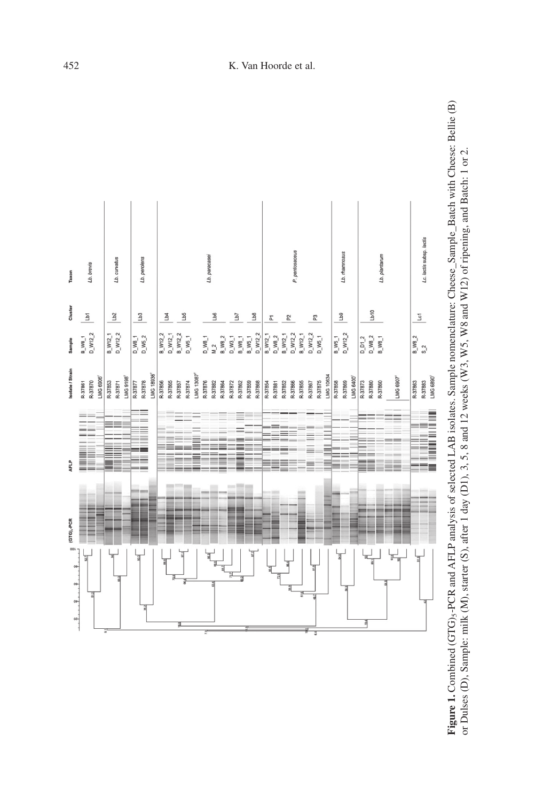<span id="page-7-0"></span>



## 452 K. Van Hoorde et al.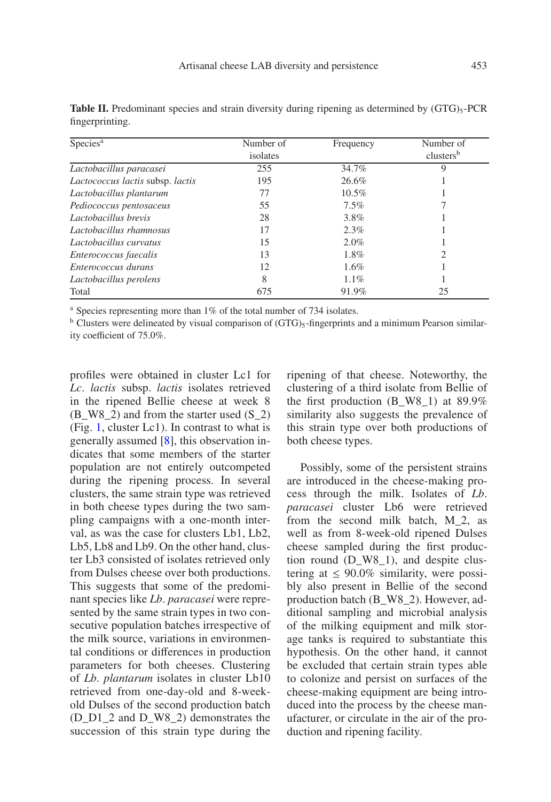| Species <sup>a</sup>             | Number of<br>isolates | Frequency | Number of             |
|----------------------------------|-----------------------|-----------|-----------------------|
|                                  |                       |           | clusters <sup>b</sup> |
| Lactobacillus paracasei          | 255                   | 34.7%     | 9                     |
| Lactococcus lactis subsp. lactis | 195                   | 26.6%     |                       |
| Lactobacillus plantarum          | 77                    | $10.5\%$  |                       |
| Pediococcus pentosaceus          | 55                    | 7.5%      |                       |
| Lactobacillus brevis             | 28                    | 3.8%      |                       |
| Lactobacillus rhamnosus          | 17                    | 2.3%      |                       |
| Lactobacillus curvatus           | 15                    | 2.0%      |                       |
| Enterococcus faecalis            | 13                    | 1.8%      |                       |
| Enterococcus durans              | 12                    | 1.6%      |                       |
| Lactobacillus perolens           | 8                     | 1.1%      |                       |
| Total                            | 675                   | 91.9%     | 25                    |

<span id="page-8-0"></span>**Table II.** Predominant species and strain diversity during ripening as determined by (GTG)<sub>5</sub>-PCR fingerprinting.

<sup>a</sup> Species representing more than 1% of the total number of 734 isolates.

 $b$  Clusters were delineated by visual comparison of  $(GTG)_5$ -fingerprints and a minimum Pearson similarity coefficient of 75.0%.

profiles were obtained in cluster Lc1 for *Lc*. *lactis* subsp. *lactis* isolates retrieved in the ripened Bellie cheese at week 8  $(B_W8_2)$  and from the starter used  $(S_2)$ (Fig. [1,](#page-7-0) cluster Lc1). In contrast to what is generally assumed [\[8](#page-9-0)], this observation indicates that some members of the starter population are not entirely outcompeted during the ripening process. In several clusters, the same strain type was retrieved in both cheese types during the two sampling campaigns with a one-month interval, as was the case for clusters Lb1, Lb2, Lb5, Lb8 and Lb9. On the other hand, cluster Lb3 consisted of isolates retrieved only from Dulses cheese over both productions. This suggests that some of the predominant species like *Lb*. *paracasei* were represented by the same strain types in two consecutive population batches irrespective of the milk source, variations in environmental conditions or differences in production parameters for both cheeses. Clustering of *Lb*. *plantarum* isolates in cluster Lb10 retrieved from one-day-old and 8-weekold Dulses of the second production batch (D\_D1\_2 and D\_W8\_2) demonstrates the succession of this strain type during the ripening of that cheese. Noteworthy, the clustering of a third isolate from Bellie of the first production (B\_W8\_1) at  $89.9\%$ similarity also suggests the prevalence of this strain type over both productions of both cheese types.

Possibly, some of the persistent strains are introduced in the cheese-making process through the milk. Isolates of *Lb*. *paracasei* cluster Lb6 were retrieved from the second milk batch, M\_2, as well as from 8-week-old ripened Dulses cheese sampled during the first production round (D\_W8\_1), and despite clustering at  $\leq 90.0\%$  similarity, were possibly also present in Bellie of the second production batch (B\_W8\_2). However, additional sampling and microbial analysis of the milking equipment and milk storage tanks is required to substantiate this hypothesis. On the other hand, it cannot be excluded that certain strain types able to colonize and persist on surfaces of the cheese-making equipment are being introduced into the process by the cheese manufacturer, or circulate in the air of the production and ripening facility.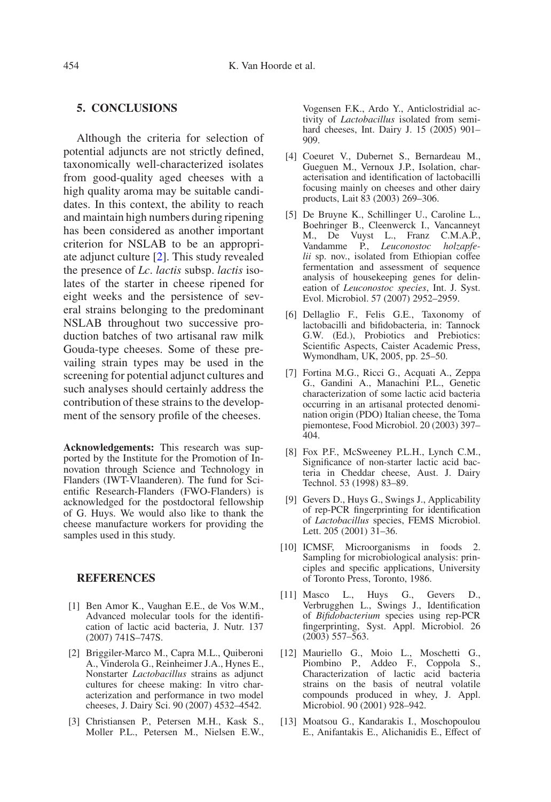## **5. CONCLUSIONS**

Although the criteria for selection of potential adjuncts are not strictly defined, taxonomically well-characterized isolates from good-quality aged cheeses with a high quality aroma may be suitable candidates. In this context, the ability to reach and maintain high numbers during ripening has been considered as another important criterion for NSLAB to be an appropriate adjunct culture [\[2](#page-9-12)]. This study revealed the presence of *Lc*. *lactis* subsp. *lactis* isolates of the starter in cheese ripened for eight weeks and the persistence of several strains belonging to the predominant NSLAB throughout two successive production batches of two artisanal raw milk Gouda-type cheeses. Some of these prevailing strain types may be used in the screening for potential adjunct cultures and such analyses should certainly address the contribution of these strains to the development of the sensory profile of the cheeses.

**Acknowledgements:** This research was supported by the Institute for the Promotion of Innovation through Science and Technology in Flanders (IWT-Vlaanderen). The fund for Scientific Research-Flanders (FWO-Flanders) is acknowledged for the postdoctoral fellowship of G. Huys. We would also like to thank the cheese manufacture workers for providing the samples used in this study.

#### **REFERENCES**

- <span id="page-9-8"></span>[1] Ben Amor K., Vaughan E.E., de Vos W.M., Advanced molecular tools for the identification of lactic acid bacteria, J. Nutr. 137 (2007) 741S–747S.
- <span id="page-9-12"></span>[2] Briggiler-Marco M., Capra M.L., Quiberoni A., Vinderola G., Reinheimer J.A., Hynes E., Nonstarter *Lactobacillus* strains as adjunct cultures for cheese making: In vitro characterization and performance in two model cheeses, J. Dairy Sci. 90 (2007) 4532–4542.
- <span id="page-9-1"></span>[3] Christiansen P., Petersen M.H., Kask S., Moller P.L., Petersen M., Nielsen E.W.,

Vogensen F.K., Ardo Y., Anticlostridial activity of *Lactobacillus* isolated from semihard cheeses, Int. Dairy J. 15 (2005) 901– 909.

- <span id="page-9-3"></span>[4] Coeuret V., Dubernet S., Bernardeau M., Gueguen M., Vernoux J.P., Isolation, characterisation and identification of lactobacilli focusing mainly on cheeses and other dairy products, Lait 83 (2003) 269–306.
- <span id="page-9-5"></span>[5] De Bruyne K., Schillinger U., Caroline L., Boehringer B., Cleenwerck I., Vancanneyt M., De Vuyst L., Franz C.M.A.P., Vandamme P., *Leuconostoc holzapfelii* sp. nov., isolated from Ethiopian coffee fermentation and assessment of sequence analysis of housekeeping genes for delineation of *Leuconostoc species*, Int. J. Syst. Evol. Microbiol. 57 (2007) 2952–2959.
- <span id="page-9-4"></span>[6] Dellaglio F., Felis G.E., Taxonomy of lactobacilli and bifidobacteria, in: Tannock G.W. (Ed.), Probiotics and Prebiotics: Scientific Aspects, Caister Academic Press, Wymondham, UK, 2005, pp. 25–50.
- <span id="page-9-10"></span>[7] Fortina M.G., Ricci G., Acquati A., Zeppa G., Gandini A., Manachini P.L., Genetic characterization of some lactic acid bacteria occurring in an artisanal protected denomination origin (PDO) Italian cheese, the Toma piemontese, Food Microbiol. 20 (2003) 397– 404.
- <span id="page-9-0"></span>[8] Fox P.F., McSweeney P.L.H., Lynch C.M., Significance of non-starter lactic acid bacteria in Cheddar cheese, Aust. J. Dairy Technol. 53 (1998) 83–89.
- <span id="page-9-6"></span>[9] Gevers D., Huys G., Swings J., Applicability of rep-PCR fingerprinting for identification of *Lactobacillus* species, FEMS Microbiol. Lett. 205 (2001) 31–36.
- <span id="page-9-9"></span>[10] ICMSF, Microorganisms in foods 2. Sampling for microbiological analysis: principles and specific applications, University of Toronto Press, Toronto, 1986.
- <span id="page-9-7"></span>[11] Masco L., Huys G., Gevers D., Verbrugghen L., Swings J., Identification of *Bifidobacterium* species using rep-PCR fingerprinting, Syst. Appl. Microbiol. 26 (2003) 557–563.
- <span id="page-9-2"></span>[12] Mauriello G., Moio L., Moschetti G., Piombino P., Addeo F., Coppola S., Characterization of lactic acid bacteria strains on the basis of neutral volatile compounds produced in whey, J. Appl. Microbiol. 90 (2001) 928–942.
- <span id="page-9-11"></span>[13] Moatsou G., Kandarakis I., Moschopoulou E., Anifantakis E., Alichanidis E., Effect of